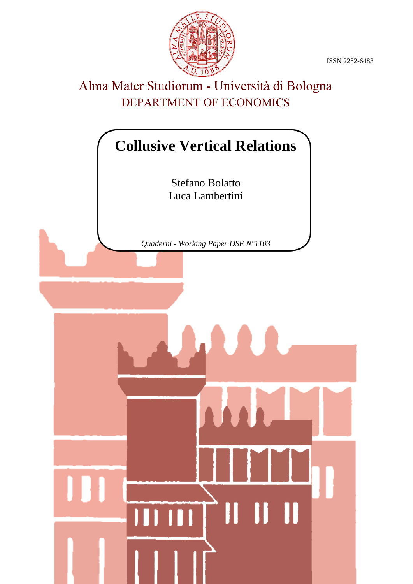ISSN 2282-6483



# Alma Mater Studiorum - Università di Bologna DEPARTMENT OF ECONOMICS

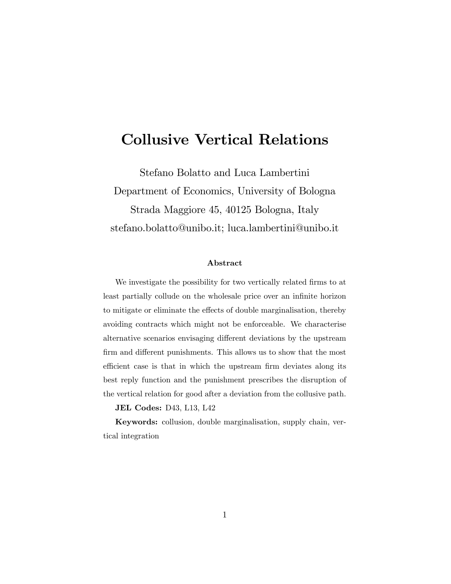## Collusive Vertical Relations

Stefano Bolatto and Luca Lambertini Department of Economics, University of Bologna Strada Maggiore 45, 40125 Bologna, Italy stefano.bolatto@unibo.it; luca.lambertini@unibo.it

#### Abstract

We investigate the possibility for two vertically related firms to at least partially collude on the wholesale price over an infinite horizon to mitigate or eliminate the effects of double marginalisation, thereby avoiding contracts which might not be enforceable. We characterise alternative scenarios envisaging different deviations by the upstream firm and different punishments. This allows us to show that the most efficient case is that in which the upstream firm deviates along its best reply function and the punishment prescribes the disruption of the vertical relation for good after a deviation from the collusive path.

JEL Codes: D43, L13, L42

Keywords: collusion, double marginalisation, supply chain, vertical integration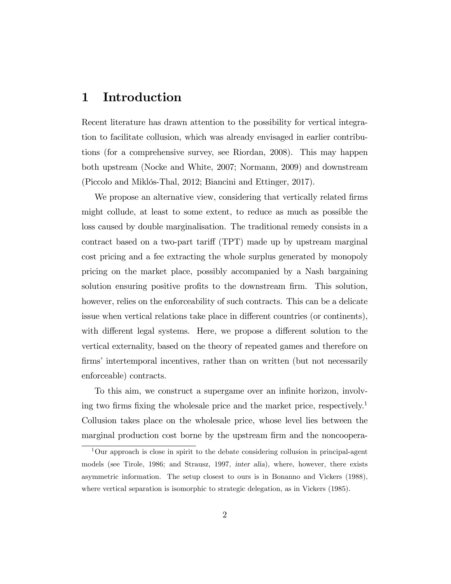## 1 Introduction

Recent literature has drawn attention to the possibility for vertical integration to facilitate collusion, which was already envisaged in earlier contributions (for a comprehensive survey, see Riordan, 2008). This may happen both upstream (Nocke and White, 2007; Normann, 2009) and downstream (Piccolo and Miklós-Thal, 2012; Biancini and Ettinger, 2017).

We propose an alternative view, considering that vertically related firms might collude, at least to some extent, to reduce as much as possible the loss caused by double marginalisation. The traditional remedy consists in a contract based on a two-part tariff (TPT) made up by upstream marginal cost pricing and a fee extracting the whole surplus generated by monopoly pricing on the market place, possibly accompanied by a Nash bargaining solution ensuring positive profits to the downstream firm. This solution, however, relies on the enforceability of such contracts. This can be a delicate issue when vertical relations take place in different countries (or continents), with different legal systems. Here, we propose a different solution to the vertical externality, based on the theory of repeated games and therefore on firms' intertemporal incentives, rather than on written (but not necessarily enforceable) contracts.

To this aim, we construct a supergame over an infinite horizon, involving two firms fixing the wholesale price and the market price, respectively.<sup>1</sup> Collusion takes place on the wholesale price, whose level lies between the marginal production cost borne by the upstream firm and the noncoopera-

 $1$ Our approach is close in spirit to the debate considering collusion in principal-agent models (see Tirole, 1986; and Strausz, 1997, inter alia), where, however, there exists asymmetric information. The setup closest to ours is in Bonanno and Vickers (1988), where vertical separation is isomorphic to strategic delegation, as in Vickers (1985).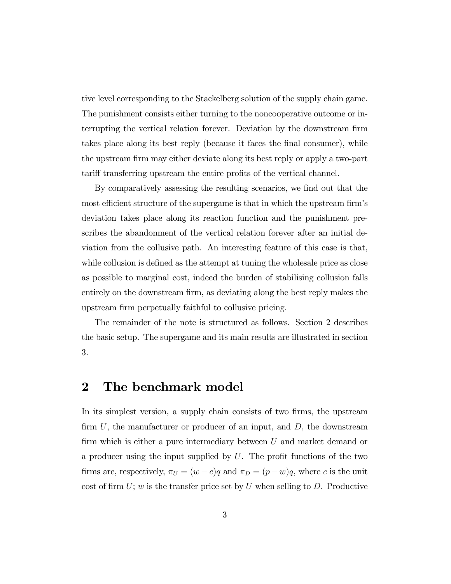tive level corresponding to the Stackelberg solution of the supply chain game. The punishment consists either turning to the noncooperative outcome or interrupting the vertical relation forever. Deviation by the downstream firm takes place along its best reply (because it faces the final consumer), while the upstream firm may either deviate along its best reply or apply a two-part tariff transferring upstream the entire profits of the vertical channel.

By comparatively assessing the resulting scenarios, we find out that the most efficient structure of the supergame is that in which the upstream firm's deviation takes place along its reaction function and the punishment prescribes the abandonment of the vertical relation forever after an initial deviation from the collusive path. An interesting feature of this case is that, while collusion is defined as the attempt at tuning the wholesale price as close as possible to marginal cost, indeed the burden of stabilising collusion falls entirely on the downstream firm, as deviating along the best reply makes the upstream firm perpetually faithful to collusive pricing.

The remainder of the note is structured as follows. Section 2 describes the basic setup. The supergame and its main results are illustrated in section 3.

#### 2 The benchmark model

In its simplest version, a supply chain consists of two firms, the upstream firm  $U$ , the manufacturer or producer of an input, and  $D$ , the downstream firm which is either a pure intermediary between  $U$  and market demand or a producer using the input supplied by  $U$ . The profit functions of the two firms are, respectively,  $\pi_U = (w - c)q$  and  $\pi_D = (p - w)q$ , where c is the unit cost of firm  $U$ ; w is the transfer price set by U when selling to D. Productive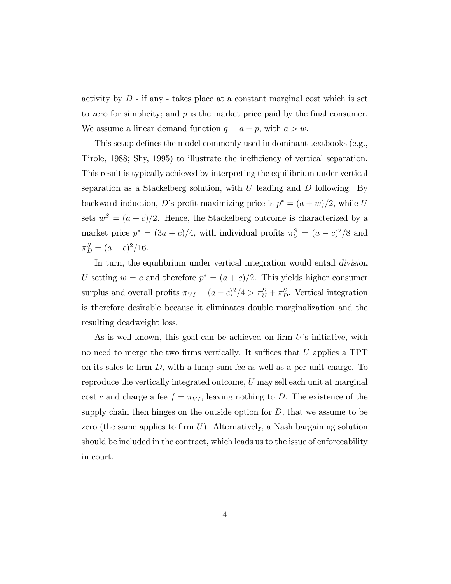activity by  $D$  - if any - takes place at a constant marginal cost which is set to zero for simplicity; and  $p$  is the market price paid by the final consumer. We assume a linear demand function  $q = a - p$ , with  $a > w$ .

This setup defines the model commonly used in dominant textbooks (e.g., Tirole, 1988; Shy, 1995) to illustrate the inefficiency of vertical separation. This result is typically achieved by interpreting the equilibrium under vertical separation as a Stackelberg solution, with  $U$  leading and  $D$  following. By backward induction, D's profit-maximizing price is  $p^* = (a+w)/2$ , while U sets  $w^S = (a+c)/2$ . Hence, the Stackelberg outcome is characterized by a market price  $p^* = (3a + c)/4$ , with individual profits  $\pi_U^S = (a - c)^2/8$  and  $\pi_D^S = (a-c)^2/16.$ 

In turn, the equilibrium under vertical integration would entail division U setting  $w = c$  and therefore  $p^* = (a + c)/2$ . This yields higher consumer surplus and overall profits  $\pi_{VI} = (a-c)^2/4 > \pi_U^S + \pi_D^S$ . Vertical integration is therefore desirable because it eliminates double marginalization and the resulting deadweight loss.

As is well known, this goal can be achieved on firm  $U$ 's initiative, with no need to merge the two firms vertically. It suffices that  $U$  applies a TPT on its sales to firm  $D$ , with a lump sum fee as well as a per-unit charge. To reproduce the vertically integrated outcome, U may sell each unit at marginal cost c and charge a fee  $f = \pi_{VI}$ , leaving nothing to D. The existence of the supply chain then hinges on the outside option for  $D$ , that we assume to be zero (the same applies to firm  $U$ ). Alternatively, a Nash bargaining solution should be included in the contract, which leads us to the issue of enforceability in court.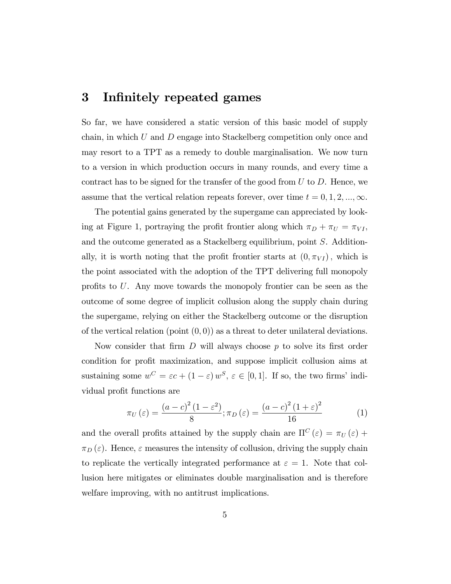## 3 Infinitely repeated games

So far, we have considered a static version of this basic model of supply chain, in which U and D engage into Stackelberg competition only once and may resort to a TPT as a remedy to double marginalisation. We now turn to a version in which production occurs in many rounds, and every time a contract has to be signed for the transfer of the good from  $U$  to  $D$ . Hence, we assume that the vertical relation repeats forever, over time  $t = 0, 1, 2, ..., \infty$ .

The potential gains generated by the supergame can appreciated by looking at Figure 1, portraying the profit frontier along which  $\pi_D + \pi_U = \pi_{VI}$ , and the outcome generated as a Stackelberg equilibrium, point S. Additionally, it is worth noting that the profit frontier starts at  $(0, \pi_{VI})$ , which is the point associated with the adoption of the TPT delivering full monopoly profits to  $U$ . Any move towards the monopoly frontier can be seen as the outcome of some degree of implicit collusion along the supply chain during the supergame, relying on either the Stackelberg outcome or the disruption of the vertical relation (point  $(0,0)$ ) as a threat to deter unilateral deviations.

Now consider that firm  $D$  will always choose  $p$  to solve its first order condition for profit maximization, and suppose implicit collusion aims at sustaining some  $w^C = \varepsilon c + (1 - \varepsilon) w^S$ ,  $\varepsilon \in [0, 1]$ . If so, the two firms' individual profit functions are

$$
\pi_{U}\left(\varepsilon\right) = \frac{\left(a-c\right)^{2}\left(1-\varepsilon^{2}\right)}{8}; \pi_{D}\left(\varepsilon\right) = \frac{\left(a-c\right)^{2}\left(1+\varepsilon\right)^{2}}{16} \tag{1}
$$

and the overall profits attained by the supply chain are  $\Pi^C(\varepsilon) = \pi_U(\varepsilon) +$  $\pi_D(\varepsilon)$ . Hence,  $\varepsilon$  measures the intensity of collusion, driving the supply chain to replicate the vertically integrated performance at  $\varepsilon = 1$ . Note that collusion here mitigates or eliminates double marginalisation and is therefore welfare improving, with no antitrust implications.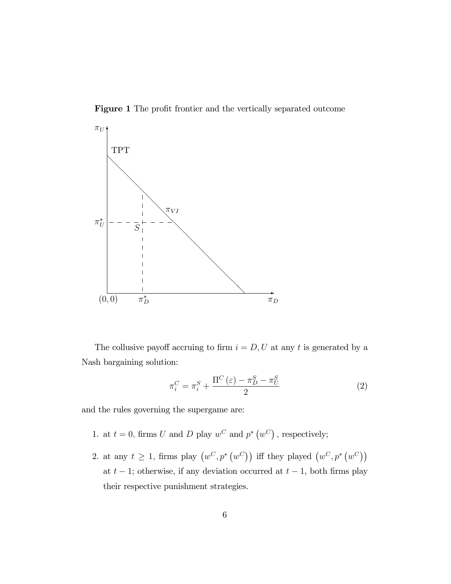Figure 1 The profit frontier and the vertically separated outcome



The collusive payoff accruing to firm  $i = D, U$  at any t is generated by a Nash bargaining solution:

$$
\pi_i^C = \pi_i^S + \frac{\Pi^C\left(\varepsilon\right) - \pi_D^S - \pi_U^S}{2} \tag{2}
$$

and the rules governing the supergame are:

- 1. at  $t = 0$ , firms U and D play  $w^C$  and  $p^*(w^C)$ , respectively;
- 2. at any  $t \geq 1$ , firms play  $(w^C, p^*(w^C))$  iff they played  $(w^C, p^*(w^C))$ at  $t - 1$ ; otherwise, if any deviation occurred at  $t - 1$ , both firms play their respective punishment strategies.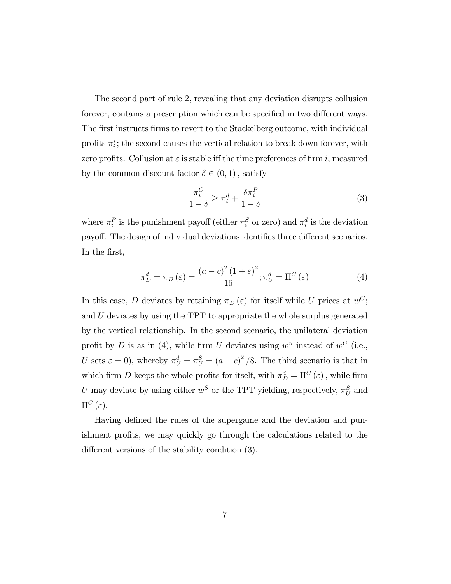The second part of rule 2, revealing that any deviation disrupts collusion forever, contains a prescription which can be specified in two different ways. The first instructs firms to revert to the Stackelberg outcome, with individual profits  $\pi_i^*$ ; the second causes the vertical relation to break down forever, with zero profits. Collusion at  $\varepsilon$  is stable iff the time preferences of firm i, measured by the common discount factor  $\delta \in (0,1)$ , satisfy

$$
\frac{\pi_i^C}{1-\delta} \ge \pi_i^d + \frac{\delta \pi_i^P}{1-\delta} \tag{3}
$$

where  $\pi_i^P$  is the punishment payoff (either  $\pi_i^S$  or zero) and  $\pi_i^d$  is the deviation payoff. The design of individual deviations identifies three different scenarios. In the first,

$$
\pi_D^d = \pi_D(\varepsilon) = \frac{(a-c)^2 (1+\varepsilon)^2}{16}; \pi_U^d = \Pi^C(\varepsilon)
$$
\n(4)

In this case, D deviates by retaining  $\pi_D(\varepsilon)$  for itself while U prices at  $w^C$ ; and U deviates by using the TPT to appropriate the whole surplus generated by the vertical relationship. In the second scenario, the unilateral deviation profit by D is as in (4), while firm U deviates using  $w^S$  instead of  $w^C$  (i.e., U sets  $\varepsilon = 0$ , whereby  $\pi_U^d = \pi_U^S = (a - c)^2 / 8$ . The third scenario is that in which firm D keeps the whole profits for itself, with  $\pi_D^d = \Pi^C(\varepsilon)$ , while firm U may deviate by using either  $w^S$  or the TPT yielding, respectively,  $\pi_U^S$  and  $\Pi^C(\varepsilon)$ .

Having defined the rules of the supergame and the deviation and punishment profits, we may quickly go through the calculations related to the different versions of the stability condition  $(3)$ .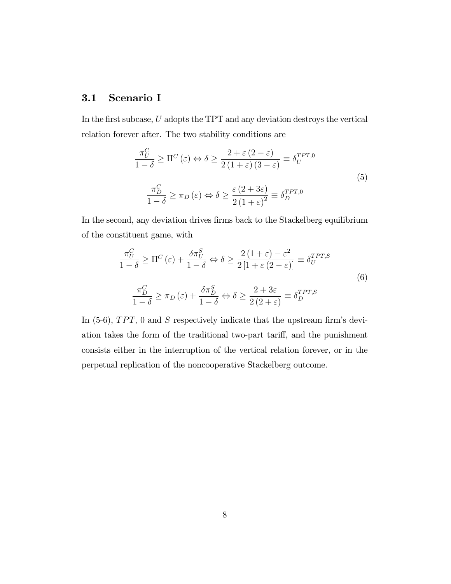#### 3.1 Scenario I

In the first subcase,  $U$  adopts the TPT and any deviation destroys the vertical relation forever after. The two stability conditions are

$$
\frac{\pi_U^C}{1-\delta} \ge \Pi^C(\varepsilon) \Leftrightarrow \delta \ge \frac{2+\varepsilon(2-\varepsilon)}{2(1+\varepsilon)(3-\varepsilon)} \equiv \delta_U^{TPT,0}
$$
\n
$$
\frac{\pi_D^C}{1-\delta} \ge \pi_D(\varepsilon) \Leftrightarrow \delta \ge \frac{\varepsilon(2+3\varepsilon)}{2(1+\varepsilon)^2} \equiv \delta_D^{TPT,0}
$$
\n(5)

In the second, any deviation drives firms back to the Stackelberg equilibrium of the constituent game, with

$$
\frac{\pi_U^C}{1-\delta} \ge \Pi^C(\varepsilon) + \frac{\delta \pi_U^S}{1-\delta} \Leftrightarrow \delta \ge \frac{2(1+\varepsilon) - \varepsilon^2}{2[1+\varepsilon(2-\varepsilon)]} \equiv \delta_U^{TPT,S}
$$
\n
$$
\frac{\pi_D^C}{1-\delta} \ge \pi_D(\varepsilon) + \frac{\delta \pi_D^S}{1-\delta} \Leftrightarrow \delta \ge \frac{2+3\varepsilon}{2(2+\varepsilon)} \equiv \delta_D^{TPT,S}
$$
\n(6)

In  $(5-6)$ , TPT, 0 and S respectively indicate that the upstream firm's deviation takes the form of the traditional two-part tariff, and the punishment consists either in the interruption of the vertical relation forever, or in the perpetual replication of the noncooperative Stackelberg outcome.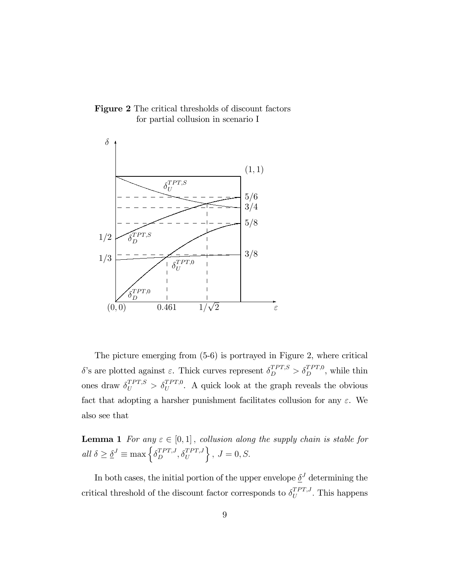



The picture emerging from (5-6) is portrayed in Figure 2, where critical  $\delta$ 's are plotted against  $\varepsilon$ . Thick curves represent  $\delta_D^{TPT,S} > \delta_D^{TPT,0}$ , while thin ones draw  $\delta_U^{TPT,S} > \delta_U^{TPT,0}$ . A quick look at the graph reveals the obvious fact that adopting a harsher punishment facilitates collusion for any  $\varepsilon$ . We also see that

**Lemma 1** For any  $\varepsilon \in [0, 1]$ , collusion along the supply chain is stable for all  $\delta \geq \underline{\delta}^{J} \equiv \max \left\{ \delta_{D}^{TPT,J}, \delta_{U}^{TPT,J} \right\}$  $\big\}$ ,  $J=0, S$ .

In both cases, the initial portion of the upper envelope  $\underline{\delta}^J$  determining the critical threshold of the discount factor corresponds to  $\delta_{U}^{TPT,J}$  $U^{PT,J}$ . This happens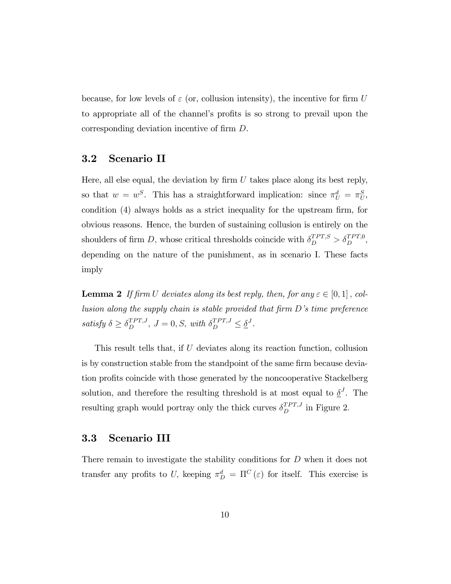because, for low levels of  $\varepsilon$  (or, collusion intensity), the incentive for firm U to appropriate all of the channel's profits is so strong to prevail upon the corresponding deviation incentive of firm D.

#### 3.2 Scenario II

Here, all else equal, the deviation by firm  $U$  takes place along its best reply, so that  $w = w^S$ . This has a straightforward implication: since  $\pi_U^d = \pi_U^S$ , condition  $(4)$  always holds as a strict inequality for the upstream firm, for obvious reasons. Hence, the burden of sustaining collusion is entirely on the shoulders of firm D, whose critical thresholds coincide with  $\delta_D^{TPT,S} > \delta_D^{TPT,0}$ , depending on the nature of the punishment, as in scenario I. These facts imply

**Lemma 2** If firm U deviates along its best reply, then, for any  $\varepsilon \in [0, 1]$ , collusion along the supply chain is stable provided that firm  $D$ 's time preference satisfy  $\delta \geq \delta_D^{TPT,J}$ ,  $J = 0, S$ , with  $\delta_D^{TPT,J} \leq \underline{\delta}^J$ .

This result tells that, if U deviates along its reaction function, collusion is by construction stable from the standpoint of the same firm because deviation profits coincide with those generated by the noncooperative Stackelberg solution, and therefore the resulting threshold is at most equal to  $\underline{\delta}^J$ . The resulting graph would portray only the thick curves  $\delta_D^{TPT,J}$  in Figure 2.

#### 3.3 Scenario III

There remain to investigate the stability conditions for D when it does not transfer any profits to U, keeping  $\pi_D^d = \Pi^C(\varepsilon)$  for itself. This exercise is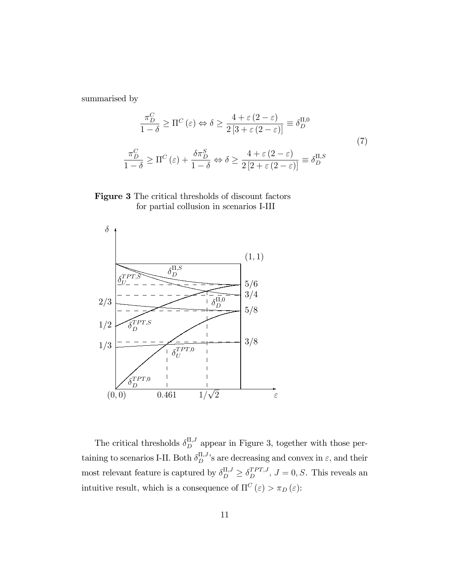summarised by

$$
\frac{\pi_D^C}{1-\delta} \ge \Pi^C(\varepsilon) \Leftrightarrow \delta \ge \frac{4+\varepsilon(2-\varepsilon)}{2\left[3+\varepsilon(2-\varepsilon)\right]} \equiv \delta_D^{\Pi,0}
$$
\n
$$
\frac{\pi_D^C}{1-\delta} \ge \Pi^C(\varepsilon) + \frac{\delta \pi_D^S}{1-\delta} \Leftrightarrow \delta \ge \frac{4+\varepsilon(2-\varepsilon)}{2\left[2+\varepsilon(2-\varepsilon)\right]} \equiv \delta_D^{\Pi,S}
$$
\n(7)

Figure 3 The critical thresholds of discount factors for partial collusion in scenarios I-III



The critical thresholds  $\delta_D^{\Pi,J}$  appear in Figure 3, together with those pertaining to scenarios I-II. Both  $\delta_D^{\Pi,J}$ 's are decreasing and convex in  $\varepsilon$ , and their most relevant feature is captured by  $\delta_D^{\Pi,J} \geq \delta_D^{TPT,J}$ ,  $J = 0, S$ . This reveals an intuitive result, which is a consequence of  $\Pi^C\left(\varepsilon\right)>\pi_D\left(\varepsilon\right)$ :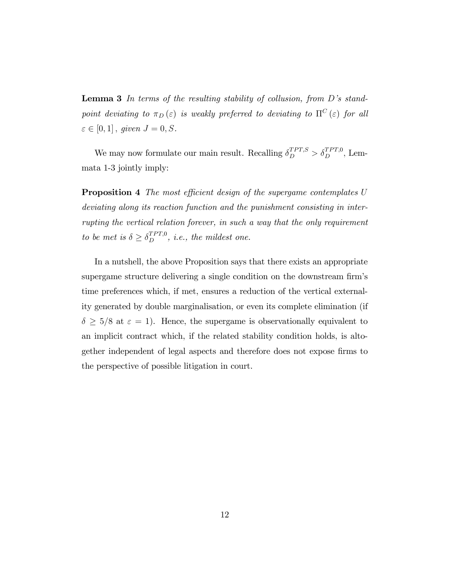**Lemma 3** In terms of the resulting stability of collusion, from  $D$ 's standpoint deviating to  $\pi_D(\varepsilon)$  is weakly preferred to deviating to  $\Pi^C(\varepsilon)$  for all  $\varepsilon \in [0, 1]$ , given  $J = 0, S$ .

We may now formulate our main result. Recalling  $\delta_D^{TPT,S} > \delta_D^{TPT,0}$ , Lemmata 1-3 jointly imply:

**Proposition 4** The most efficient design of the supergame contemplates U deviating along its reaction function and the punishment consisting in interrupting the vertical relation forever, in such a way that the only requirement to be met is  $\delta \geq \delta_D^{TPT,0}$ , i.e., the mildest one.

In a nutshell, the above Proposition says that there exists an appropriate supergame structure delivering a single condition on the downstream firm's time preferences which, if met, ensures a reduction of the vertical externality generated by double marginalisation, or even its complete elimination (if  $\delta \geq 5/8$  at  $\varepsilon = 1$ ). Hence, the supergame is observationally equivalent to an implicit contract which, if the related stability condition holds, is altogether independent of legal aspects and therefore does not expose firms to the perspective of possible litigation in court.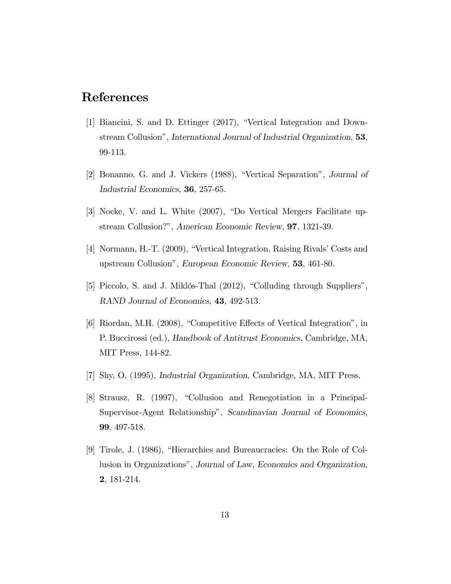## References

- [1] Biancini, S. and D. Ettinger (2017), "Vertical Integration and Downstream Collusion", International Journal of Industrial Organization, 53, 99-113.
- [2] Bonanno, G. and J. Vickers (1988), "Vertical Separation", Journal of Industrial Economics, 36, 257-65.
- [3] Nocke, V. and L. White (2007), "Do Vertical Mergers Facilitate upstream Collusion?", American Economic Review, 97, 1321-39.
- [4] Normann, H.-T.  $(2009)$ , "Vertical Integration, Raising Rivals' Costs and upstream Collusionî, European Economic Review, 53, 461-80.
- [5] Piccolo, S. and J. Miklós-Thal  $(2012)$ , "Colluding through Suppliers", RAND Journal of Economics, 43, 492-513.
- $[6]$  Riordan, M.H. (2008), "Competitive Effects of Vertical Integration", in P. Buccirossi (ed.), Handbook of Antitrust Economics, Cambridge, MA, MIT Press, 144-82.
- [7] Shy, O. (1995), Industrial Organization, Cambridge, MA, MIT Press.
- [8] Strausz, R. (1997), "Collusion and Renegotiation in a Principal-Supervisor-Agent Relationship", Scandinavian Journal of Economics, 99, 497-518.
- [9] Tirole, J.  $(1986)$ , "Hierarchies and Bureaucracies: On the Role of Collusion in Organizations", Journal of Law, Economics and Organization, 2, 181-214.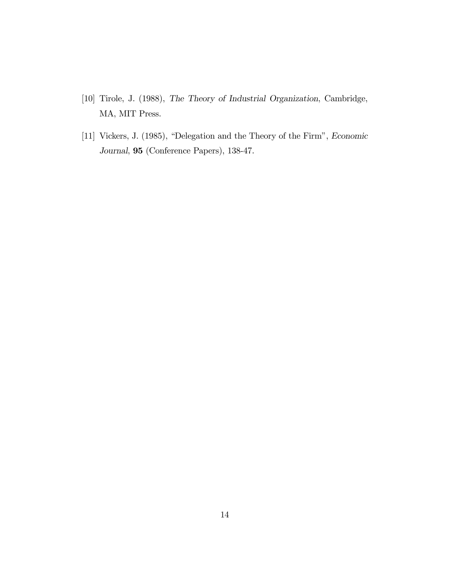- [10] Tirole, J. (1988), The Theory of Industrial Organization, Cambridge, MA, MIT Press.
- [11] Vickers, J. (1985), "Delegation and the Theory of the Firm", Economic Journal, 95 (Conference Papers), 138-47.